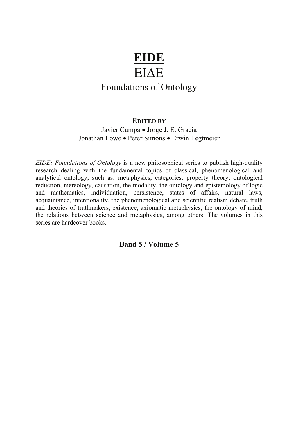## **EIDE EIAE**

## Foundations of Ontology

#### **EDITED BY** Javier Cumpa • Jorge J. E. Gracia Jonathan Lowe • Peter Simons • Erwin Tegtmeier

*EIDE: Foundations of Ontology* is a new philosophical series to publish high-quality research dealing with the fundamental topics of classical, phenomenological and analytical ontology, such as: metaphysics, categories, property theory, ontological reduction, mereology, causation, the modality, the ontology and epistemology of logic and mathematics, individuation, persistence, states of affairs, natural laws, acquaintance, intentionality, the phenomenological and scientific realism debate, truth and theories of truthmakers, existence, axiomatic metaphysics, the ontology of mind, the relations between science and metaphysics, among others. The volumes in this series are hardcover books.

**Band 5 / Volume 5**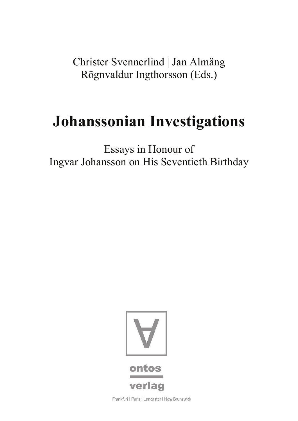Christer Svennerlind | Jan Almäng Rögnvaldur Ingthorsson (Eds.)

# **Johanssonian Investigations**

Essays in Honour of Ingvar Johansson on His Seventieth Birthday



Frankfurt | Paris | Lancaster | New Brunswick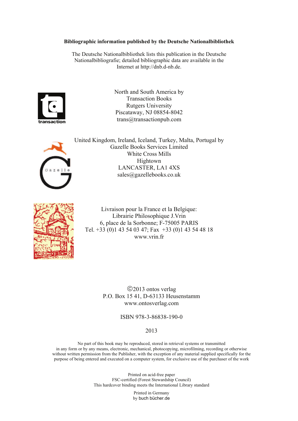#### **Bibliographic information published by the Deutsche Nationalbibliothek**

The Deutsche Nationalbibliothek lists this publication in the Deutsche Nationalbibliografie; detailed bibliographic data are available in the Internet at http://dnb.d-nb.de.



North and South America by Transaction Books Rutgers University Piscataway, NJ 08854-8042 trans@transactionpub.com



United Kingdom, Ireland, Iceland, Turkey, Malta, Portugal by Gazelle Books Services Limited White Cross Mills Hightown LANCASTER, LA1 4XS sales@gazellebooks.co.uk



Livraison pour la France et la Belgique: Librairie Philosophique J.Vrin 6, place de la Sorbonne; F-75005 PARIS Tel. +33 (0)1 43 54 03 47; Fax +33 (0)1 43 54 48 18 www.vrin.fr

> ©2013 ontos verlag P.O. Box 15 41, D-63133 Heusenstamm www.ontosverlag.com

> > ISBN 978-3-86838-190-0

#### 2013

No part of this book may be reproduced, stored in retrieval systems or transmitted in any form or by any means, electronic, mechanical, photocopying, microfilming, recording or otherwise without written permission from the Publisher, with the exception of any material supplied specifically for the purpose of being entered and executed on a computer system, for exclusive use of the purchaser of the work

> Printed on acid-free paper FSC-certified (Forest Stewardship Council) This hardcover binding meets the International Library standard

> > Printed in Germany by buch bücher.de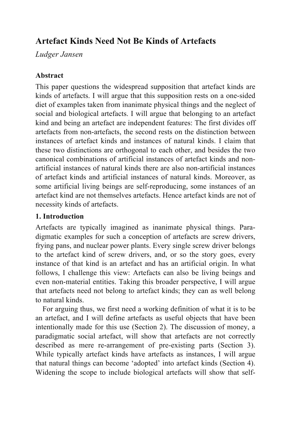## **Artefact Kinds Need Not Be Kinds of Artefacts**

*Ludger Jansen* 

#### **Abstract**

This paper questions the widespread supposition that artefact kinds are kinds of artefacts. I will argue that this supposition rests on a one-sided diet of examples taken from inanimate physical things and the neglect of social and biological artefacts. I will argue that belonging to an artefact kind and being an artefact are independent features: The first divides off artefacts from non-artefacts, the second rests on the distinction between instances of artefact kinds and instances of natural kinds. I claim that these two distinctions are orthogonal to each other, and besides the two canonical combinations of artificial instances of artefact kinds and nonartificial instances of natural kinds there are also non-artificial instances of artefact kinds and artificial instances of natural kinds. Moreover, as some artificial living beings are self-reproducing, some instances of an artefact kind are not themselves artefacts. Hence artefact kinds are not of necessity kinds of artefacts.

#### **1. Introduction**

Artefacts are typically imagined as inanimate physical things. Paradigmatic examples for such a conception of artefacts are screw drivers, frying pans, and nuclear power plants. Every single screw driver belongs to the artefact kind of screw drivers, and, or so the story goes, every instance of that kind is an artefact and has an artificial origin. In what follows. I challenge this view: Artefacts can also be living beings and even non-material entities. Taking this broader perspective, I will argue that artefacts need not belong to artefact kinds; they can as well belong to natural kinds

For arguing thus, we first need a working definition of what it is to be an artefact, and I will define artefacts as useful objects that have been intentionally made for this use (Section 2). The discussion of money, a paradigmatic social artefact, will show that artefacts are not correctly described as mere re-arrangement of pre-existing parts (Section 3). While typically artefact kinds have artefacts as instances, I will argue that natural things can become 'adopted' into artefact kinds (Section 4). Widening the scope to include biological artefacts will show that self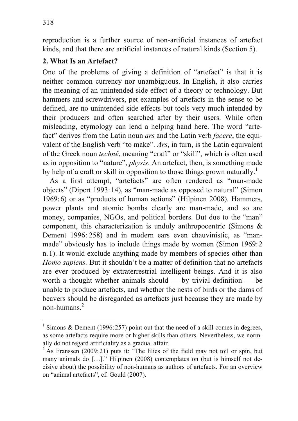reproduction is a further source of non-artificial instances of artefact kinds, and that there are artificial instances of natural kinds (Section 5).

#### 2. What Is an Artefact?

One of the problems of giving a definition of "artefact" is that it is neither common currency nor unambiguous. In English, it also carries the meaning of an unintended side effect of a theory or technology. But hammers and screwdrivers, pet examples of artefacts in the sense to be defined, are no unintended side effects but tools very much intended by their producers and often searched after by their users. While often misleading, etymology can lend a helping hand here. The word "artefact" derives from the Latin noun ars and the Latin verb facere, the equivalent of the English verb "to make". Ars, in turn, is the Latin equivalent of the Greek noun techné, meaning "craft" or "skill", which is often used as in opposition to "nature", *physis*. An artefact, then, is something made by help of a craft or skill in opposition to those things grown naturally.

As a first attempt, "artefacts" are often rendered as "man-made objects" (Dipert 1993:14), as "man-made as opposed to natural" (Simon 1969:6) or as "products of human actions" (Hilpinen 2008). Hammers, power plants and atomic bombs clearly are man-made, and so are money, companies, NGOs, and political borders. But due to the "man" component, this characterization is unduly anthropocentric (Simons  $\&$ Dement 1996: 258) and in modern ears even chauvinistic, as "manmade" obviously has to include things made by women (Simon 1969:2) n. 1). It would exclude anything made by members of species other than Homo sapiens. But it shouldn't be a matter of definition that no artefacts are ever produced by extraterrestrial intelligent beings. And it is also worth a thought whether animals should — by trivial definition — be unable to produce artefacts, and whether the nests of birds or the dams of beavers should be disregarded as artefacts just because they are made by non-humans. $2$ 

<sup>&</sup>lt;sup>1</sup> Simons & Dement (1996:257) point out that the need of a skill comes in degrees, as some artefacts require more or higher skills than others. Nevertheless, we normally do not regard artificiality as a gradual affair.

<sup>&</sup>lt;sup>2</sup> As Franssen (2009:21) puts it: "The lilies of the field may not toil or spin, but many animals do [...]." Hilpinen (2008) contemplates on (but is himself not decisive about) the possibility of non-humans as authors of artefacts. For an overview on "animal artefacts", cf. Gould (2007).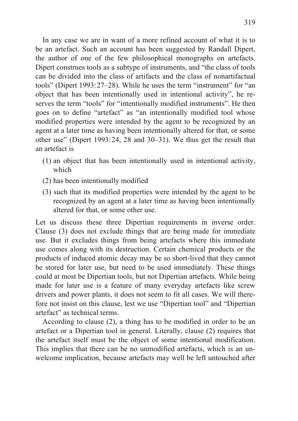In any case we are in want of a more refined account of what it is to be an artefact. Such an account has been suggested by Randall Dipert, the author of one of the few philosophical monographs on artefacts. Dipert construes tools as a subtype of instruments, and "the class of tools" can be divided into the class of artifacts and the class of nonartifactual tools" (Dipert 1993:27–28). While he uses the term "instrument" for "an object that has been intentionally used in intentional activity", he reserves the term "tools" for "intentionally modified instruments". He then goes on to define "artefact" as "an intentionally modified tool whose modified properties were intended by the agent to be recognized by an agent at a later time as having been intentionally altered for that, or some other use" (Dipert 1993:24, 28 and 30–31). We thus get the result that an artefact is

- (1) an object that has been intentionally used in intentional activity, which
- (2) has been intentionally modified
- (3) such that its modified properties were intended by the agent to be recognized by an agent at a later time as having been intentionally altered for that, or some other use.

Let us discuss these three Dipertian requirements in inverse order. Clause (3) does not exclude things that are being made for immediate use. But it excludes things from being artefacts where this immediate use comes along with its destruction. Certain chemical products or the products of induced atomic decay may be so short-lived that they cannot be stored for later use, but need to be used immediately. These things could at most be Dipertian tools, but not Dipertian artefacts. While being made for later use is a feature of many everyday artefacts like screw drivers and power plants, it does not seem to fit all cases. We will therefore not insist on this clause, lest we use "Dipertian tool" and "Dipertian artefact" as technical terms.

According to clause  $(2)$ , a thing has to be modified in order to be an artefact or a Dipertian tool in general. Literally, clause (2) requires that the artefact itself must be the object of some intentional modification. This implies that there can be no unmodified artefacts, which is an unwelcome implication, because artefacts may well be left untouched after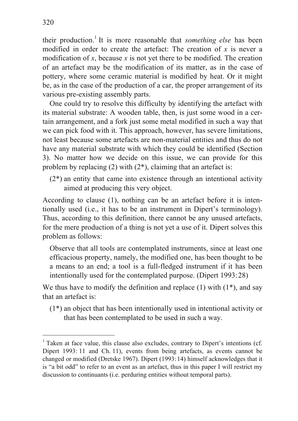their production.<sup>1</sup> It is more reasonable that *something else* has been modified in order to create the artefact: The creation of  $x$  is never a modification of x, because x is not yet there to be modified. The creation of an artefact may be the modification of its matter, as in the case of pottery, where some ceramic material is modified by heat. Or it might be, as in the case of the production of a car, the proper arrangement of its various pre-existing assembly parts.

One could try to resolve this difficulty by identifying the artefact with its material substrate: A wooden table, then, is just some wood in a certain arrangement, and a fork just some metal modified in such a way that we can pick food with it. This approach, however, has severe limitations, not least because some artefacts are non-material entities and thus do not have any material substrate with which they could be identified (Section 3). No matter how we decide on this issue, we can provide for this problem by replacing (2) with  $(2^*)$ , claiming that an artefact is:

 $(2^*)$  an entity that came into existence through an intentional activity aimed at producing this very object.

According to clause (1), nothing can be an artefact before it is intentionally used (i.e., it has to be an instrument in Dipert's terminology). Thus, according to this definition, there cannot be any unused artefacts, for the mere production of a thing is not yet a use of it. Dipert solves this problem as follows:

Observe that all tools are contemplated instruments, since at least one efficacious property, namely, the modified one, has been thought to be a means to an end; a tool is a full-fledged instrument if it has been intentionally used for the contemplated purpose. (Dipert 1993:28)

We thus have to modify the definition and replace  $(1)$  with  $(1^*)$ , and say that an artefact is:

 $(1^*)$  an object that has been intentionally used in intentional activity or that has been contemplated to be used in such a way.

<sup>&</sup>lt;sup>1</sup> Taken at face value, this clause also excludes, contrary to Dipert's intentions (cf. Dipert 1993: 11 and Ch. 11), events from being artefacts, as events cannot be changed or modified (Dretske 1967). Dipert (1993:14) himself acknowledges that it is "a bit odd" to refer to an event as an artefact, thus in this paper I will restrict my discussion to continuants (*i.e.* perduring entities without temporal parts).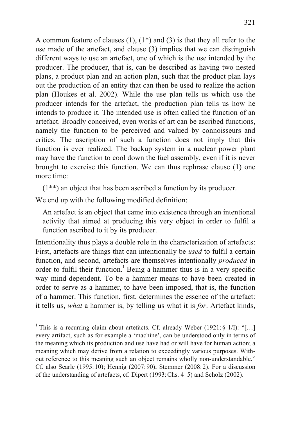A common feature of clauses  $(1)$ ,  $(1^*)$  and  $(3)$  is that they all refer to the use made of the artefact, and clause (3) implies that we can distinguish different ways to use an artefact, one of which is the use intended by the producer. The producer, that is, can be described as having two nested plans, a product plan and an action plan, such that the product plan lays out the production of an entity that can then be used to realize the action plan (Houkes et al. 2002). While the use plan tells us which use the producer intends for the artefact, the production plan tells us how he intends to produce it. The intended use is often called the function of an artefact. Broadly conceived, even works of art can be ascribed functions. namely the function to be perceived and valued by connoisseurs and critics. The ascription of such a function does not imply that this function is ever realized. The backup system in a nuclear power plant may have the function to cool down the fuel assembly, even if it is never brought to exercise this function. We can thus rephrase clause (1) one more time:

 $(1^{**})$  an object that has been ascribed a function by its producer.

We end up with the following modified definition:

An artefact is an object that came into existence through an intentional activity that aimed at producing this very object in order to fulfil a function ascribed to it by its producer.

Intentionality thus plays a double role in the characterization of artefacts: First, artefacts are things that can intentionally be *used* to fulfil a certain function, and second, artefacts are themselves intentionally *produced* in order to fulfil their function.<sup>1</sup> Being a hammer thus is in a very specific way mind-dependent. To be a hammer means to have been created in order to serve as a hammer, to have been imposed, that is, the function of a hammer. This function, first, determines the essence of the artefact: it tells us, what a hammer is, by telling us what it is for. Artefact kinds,

<sup>&</sup>lt;sup>1</sup> This is a recurring claim about artefacts. Cf. already Weber (1921: § 1/I): "[...] every artifact, such as for example a 'machine', can be understood only in terms of the meaning which its production and use have had or will have for human action; a meaning which may derive from a relation to exceedingly various purposes. Without reference to this meaning such an object remains wholly non-understandable." Cf. also Searle  $(1995:10)$ ; Hennig  $(2007:90)$ ; Stemmer  $(2008:2)$ . For a discussion of the understanding of artefacts, cf. Dipert (1993: Chs. 4–5) and Scholz (2002).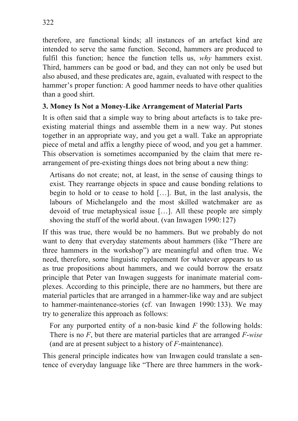therefore, are functional kinds; all instances of an artefact kind are intended to serve the same function. Second, hammers are produced to fulfil this function; hence the function tells us, why hammers exist. Third, hammers can be good or bad, and they can not only be used but also abused, and these predicates are, again, evaluated with respect to the hammer's proper function: A good hammer needs to have other qualities than a good shirt.

#### **3. Money Is Not a Money-Like Arrangement of Material Parts**

It is often said that a simple way to bring about artefacts is to take preexisting material things and assemble them in a new way. Put stones together in an appropriate way, and you get a wall. Take an appropriate piece of metal and affix a lengthy piece of wood, and you get a hammer. This observation is sometimes accompanied by the claim that mere rearrangement of pre-existing things does not bring about a new thing:

Artisans do not create; not, at least, in the sense of causing things to exist. They rearrange objects in space and cause bonding relations to begin to hold or to cease to hold [ $\dots$ ]. But, in the last analysis, the labours of Michelangelo and the most skilled watchmaker are as devoid of true metaphysical issue [ $\dots$ ]. All these people are simply shoving the stuff of the world about. (van Inwagen  $1990:127$ )

If this was true, there would be no hammers. But we probably do not want to deny that everyday statements about hammers (like "There are three hammers in the workshop" are meaningful and often true. We need, therefore, some linguistic replacement for whatever appears to us as true propositions about hammers, and we could borrow the ersatz principle that Peter van Inwagen suggests for inanimate material complexes. According to this principle, there are no hammers, but there are material particles that are arranged in a hammer-like way and are subject to hammer-maintenance-stories (cf. van Inwagen 1990: 133). We may try to generalize this approach as follows:

For any purported entity of a non-basic kind  $F$  the following holds: There is no F, but there are material particles that are arranged F-wise (and are at present subject to a history of  $F$ -maintenance).

This general principle indicates how van Inwagen could translate a sentence of everyday language like "There are three hammers in the work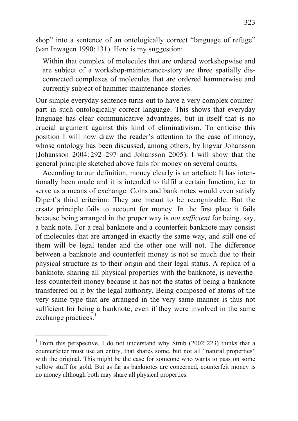shop" into a sentence of an ontologically correct "language of refuge" (van Inwagen 1990: 131). Here is my suggestion:

Within that complex of molecules that are ordered workshopwise and are subject of a workshop-maintenance-story are three spatially disconnected complexes of molecules that are ordered hammerwise and currently subject of hammer-maintenance-stories.

Our simple everyday sentence turns out to have a very complex counterpart in such ontologically correct language. This shows that everyday language has clear communicative advantages, but in itself that is no crucial argument against this kind of eliminativism. To criticise this position I will now draw the reader's attention to the case of money, whose ontology has been discussed, among others, by Ingvar Johansson (Johansson 2004: 292–297 and Johansson 2005). I will show that the general principle sketched above fails for money on several counts.

According to our definition, money clearly is an artefact: It has intentionally been made and it is intended to fulfil a certain function, *i.e.* to serve as a means of exchange. Coins and bank notes would even satisfy Dipert's third criterion: They are meant to be recognizable. But the ersatz principle fails to account for money. In the first place it fails because being arranged in the proper way is *not sufficient* for being, say, a bank note. For a real banknote and a counterfeit banknote may consist of molecules that are arranged in exactly the same way, and still one of them will be legal tender and the other one will not. The difference between a banknote and counterfeit money is not so much due to their physical structure as to their origin and their legal status. A replica of a banknote, sharing all physical properties with the banknote, is nevertheless counterfeit money because it has not the status of being a banknote transferred on it by the legal authority. Being composed of atoms of the very same type that are arranged in the very same manner is thus not sufficient for being a banknote, even if they were involved in the same exchange practices.<sup>1</sup>

<sup>&</sup>lt;sup>1</sup> From this perspective, I do not understand why Strub  $(2002:223)$  thinks that a counterfeiter must use an entity, that shares some, but not all "natural properties" with the original. This might be the case for someone who wants to pass on some yellow stuff for gold. But as far as banknotes are concerned, counterfeit money is no money although both may share all physical properties.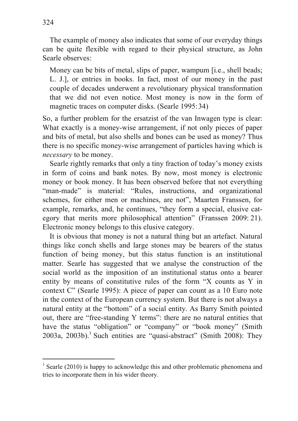The example of money also indicates that some of our everyday things can be quite flexible with regard to their physical structure, as John Searle observes:

Money can be bits of metal, slips of paper, wampum [i.e., shell beads; L. J.], or entries in books. In fact, most of our money in the past couple of decades underwent a revolutionary physical transformation that we did not even notice. Most money is now in the form of magnetic traces on computer disks. (Searle 1995:34)

So, a further problem for the ersatzist of the van Inwagen type is clear: What exactly is a money-wise arrangement, if not only pieces of paper and bits of metal, but also shells and bones can be used as money? Thus there is no specific money-wise arrangement of particles having which is *necessary* to be money.

Searle rightly remarks that only a tiny fraction of today's money exists in form of coins and bank notes. By now, most money is electronic money or book money. It has been observed before that not everything "man-made" is material: "Rules, instructions, and organizational schemes, for either men or machines, are not". Maarten Franssen, for example, remarks, and, he continues, "they form a special, elusive category that merits more philosophical attention" (Franssen 2009: 21). Electronic money belongs to this elusive category.

It is obvious that money is not a natural thing but an artefact. Natural things like conch shells and large stones may be bearers of the status function of being money, but this status function is an institutional matter. Searle has suggested that we analyse the construction of the social world as the imposition of an institutional status onto a bearer entity by means of constitutive rules of the form "X counts as Y in context C" (Searle 1995): A piece of paper can count as a 10 Euro note in the context of the European currency system. But there is not always a natural entity at the "bottom" of a social entity. As Barry Smith pointed out, there are "free-standing Y terms": there are no natural entities that have the status "obligation" or "company" or "book money" (Smith 2003a, 2003b).<sup>1</sup> Such entities are "quasi-abstract" (Smith 2008): They

Searle (2010) is happy to acknowledge this and other problematic phenomena and tries to incorporate them in his wider theory.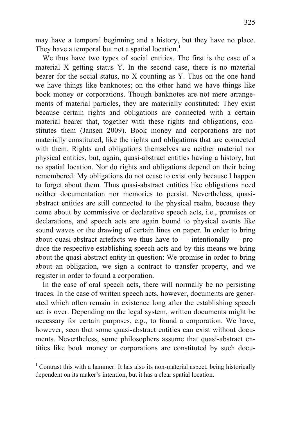may have a temporal beginning and a history, but they have no place. They have a temporal but not a spatial location.<sup>1</sup>

We thus have two types of social entities. The first is the case of a material X getting status Y. In the second case, there is no material bearer for the social status, no X counting as Y. Thus on the one hand we have things like banknotes; on the other hand we have things like book money or corporations. Though banknotes are not mere arrangements of material particles, they are materially constituted: They exist because certain rights and obligations are connected with a certain material bearer that, together with these rights and obligations, constitutes them (Jansen 2009). Book money and corporations are not materially constituted, like the rights and obligations that are connected with them. Rights and obligations themselves are neither material nor physical entities, but, again, quasi-abstract entities having a history, but no spatial location. Nor do rights and obligations depend on their being remembered: My obligations do not cease to exist only because I happen to forget about them. Thus quasi-abstract entities like obligations need neither documentation nor memories to persist. Nevertheless, quasiabstract entities are still connected to the physical realm, because they come about by commissive or declarative speech acts, *i.e.*, promises or declarations, and speech acts are again bound to physical events like sound waves or the drawing of certain lines on paper. In order to bring about quasi-abstract artefacts we thus have to  $-$  intentionally  $-$  produce the respective establishing speech acts and by this means we bring about the quasi-abstract entity in question: We promise in order to bring about an obligation, we sign a contract to transfer property, and we register in order to found a corporation.

In the case of oral speech acts, there will normally be no persisting traces. In the case of written speech acts, however, documents are generated which often remain in existence long after the establishing speech act is over. Depending on the legal system, written documents might be necessary for certain purposes, e.g., to found a corporation. We have, however, seen that some quasi-abstract entities can exist without documents. Nevertheless, some philosophers assume that quasi-abstract entities like book money or corporations are constituted by such docu-

<sup>&</sup>lt;sup>1</sup> Contrast this with a hammer: It has also its non-material aspect, being historically dependent on its maker's intention, but it has a clear spatial location.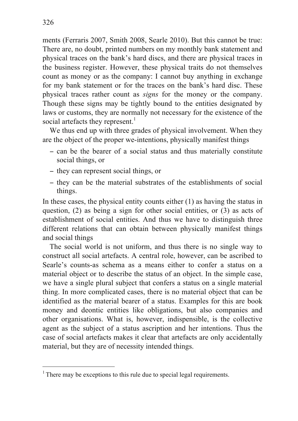ments (Ferraris 2007, Smith 2008, Searle 2010). But this cannot be true: There are, no doubt, printed numbers on my monthly bank statement and physical traces on the bank's hard discs, and there are physical traces in the business register. However, these physical traits do not themselves count as money or as the company: I cannot buy anything in exchange for my bank statement or for the traces on the bank's hard disc. These physical traces rather count as *signs* for the money or the company. Though these signs may be tightly bound to the entities designated by laws or customs, they are normally not necessary for the existence of the social artefacts they represent.<sup>1</sup>

We thus end up with three grades of physical involvement. When they are the object of the proper we-intentions, physically manifest things

- can be the bearer of a social status and thus materially constitute social things, or
- they can represent social things, or
- they can be the material substrates of the establishments of social things.

In these cases, the physical entity counts either  $(1)$  as having the status in question,  $(2)$  as being a sign for other social entities, or  $(3)$  as acts of establishment of social entities. And thus we have to distinguish three different relations that can obtain between physically manifest things and social things

The social world is not uniform, and thus there is no single way to construct all social artefacts. A central role, however, can be ascribed to Searle's counts-as schema as a means either to confer a status on a material object or to describe the status of an object. In the simple case, we have a single plural subject that confers a status on a single material thing. In more complicated cases, there is no material object that can be identified as the material bearer of a status. Examples for this are book money and deontic entities like obligations, but also companies and other organisations. What is, however, indispensible, is the collective agent as the subject of a status ascription and her intentions. Thus the case of social artefacts makes it clear that artefacts are only accidentally material, but they are of necessity intended things.

<sup>&</sup>lt;sup>1</sup> There may be exceptions to this rule due to special legal requirements.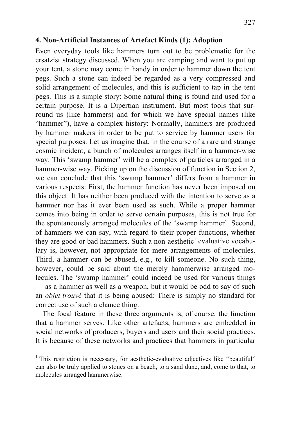#### **4. Non-Artificial Instances of Artefact Kinds (1): Adoption**

Even everyday tools like hammers turn out to be problematic for the ersatzist strategy discussed. When you are camping and want to put up your tent, a stone may come in handy in order to hammer down the tent pegs. Such a stone can indeed be regarded as a very compressed and solid arrangement of molecules, and this is sufficient to tap in the tent pegs. This is a simple story: Some natural thing is found and used for a certain purpose. It is a Dipertian instrument. But most tools that surround us (like hammers) and for which we have special names (like "hammer"), have a complex history: Normally, hammers are produced by hammer makers in order to be put to service by hammer users for special purposes. Let us imagine that, in the course of a rare and strange cosmic incident, a bunch of molecules arranges itself in a hammer-wise way. This 'swamp hammer' will be a complex of particles arranged in a hammer-wise way. Picking up on the discussion of function in Section 2, we can conclude that this 'swamp hammer' differs from a hammer in various respects: First, the hammer function has never been imposed on this object: It has neither been produced with the intention to serve as a hammer nor has it ever been used as such. While a proper hammer comes into being in order to serve certain purposes, this is not true for the spontaneously arranged molecules of the 'swamp hammer'. Second, of hammers we can say, with regard to their proper functions, whether they are good or bad hammers. Such a non-aesthetic<sup>1</sup> evaluative vocabulary is, however, not appropriate for mere arrangements of molecules. Third, a hammer can be abused, e.g., to kill someone. No such thing, however, could be said about the merely hammerwise arranged molecules. The 'swamp hammer' could indeed be used for various things — as a hammer as well as a weapon, but it would be odd to say of such an *objet trouvé* that it is being abused: There is simply no standard for correct use of such a chance thing.

The focal feature in these three arguments is, of course, the function that a hammer serves. Like other artefacts, hammers are embedded in social networks of producers, buyers and users and their social practices. It is because of these networks and practices that hammers in particular

<sup>&</sup>lt;sup>1</sup> This restriction is necessary, for aesthetic-evaluative adjectives like "beautiful" can also be truly applied to stones on a beach, to a sand dune, and, come to that, to molecules arranged hammerwise.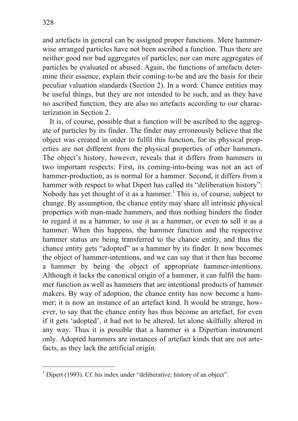and artefacts in general can be assigned proper functions. Mere hammerwise arranged particles have not been ascribed a function. Thus there are neither good nor bad aggregates of particles; nor can mere aggregates of particles be evaluated or abused. Again, the functions of artefacts determine their essence, explain their coming-to-be and are the basis for their peculiar valuation standards (Section 2). In a word: Chance entities may be useful things, but they are not intended to be such, and as they have no ascribed function, they are also no artefacts according to our characterization in Section 2.

It is, of course, possible that a function will be ascribed to the aggregate of particles by its finder. The finder may erroneously believe that the object was created in order to fulfil this function, for its physical properties are not different from the physical properties of other hammers. The object's history, however, reveals that it differs from hammers in two important respects: First, its coming-into-being was not an act of hammer-production, as is normal for a hammer. Second, it differs from a hammer with respect to what Dipert has called its "deliberation history": Nobody has yet thought of it as a hammer.<sup>1</sup> This is, of course, subject to change. By assumption, the chance entity may share all intrinsic physical properties with man-made hammers, and thus nothing hinders the finder to regard it as a hammer, to use it as a hammer, or even to sell it as a hammer. When this happens, the hammer function and the respective hammer status are being transferred to the chance entity, and thus the chance entity gets "adopted" as a hammer by its finder. It now becomes the object of hammer-intentions, and we can say that it then has become a hammer by being the object of appropriate hammer-intentions. Although it lacks the canonical origin of a hammer, it can fulfil the hammer function as well as hammers that are intentional products of hammer makers. By way of adoption, the chance entity has now become a hammer; it is now an instance of an artefact kind. It would be strange, however, to say that the chance entity has thus become an artefact, for even if it gets 'adopted', it had not to be altered, let alone skilfully altered in any way. Thus it is possible that a hammer is a Dipertian instrument only. Adopted hammers are instances of artefact kinds that are not artefacts, as they lack the artificial origin.

 $<sup>1</sup>$  Dipert (1993). Cf. his index under "deliberative: history of an object".</sup>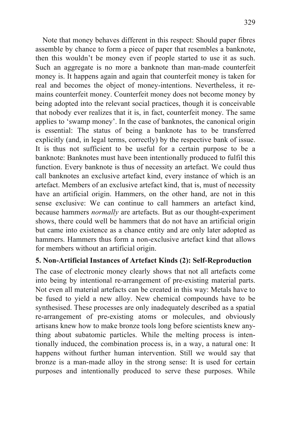Note that money behaves different in this respect: Should paper fibres assemble by chance to form a piece of paper that resembles a banknote, then this wouldn't be money even if people started to use it as such. Such an aggregate is no more a banknote than man-made counterfeit money is. It happens again and again that counterfeit money is taken for real and becomes the object of money-intentions. Nevertheless, it remains counterfeit money. Counterfeit money does not become money by being adopted into the relevant social practices, though it is conceivable that nobody ever realizes that it is, in fact, counterfeit money. The same applies to 'swamp money'. In the case of banknotes, the canonical origin is essential: The status of being a banknote has to be transferred explicitly (and, in legal terms, correctly) by the respective bank of issue. It is thus not sufficient to be useful for a certain purpose to be a banknote: Banknotes must have been intentionally produced to fulfil this function. Every banknote is thus of necessity an artefact. We could thus call banknotes an exclusive artefact kind, every instance of which is an artefact. Members of an exclusive artefact kind, that is, must of necessity have an artificial origin. Hammers, on the other hand, are not in this sense exclusive: We can continue to call hammers an artefact kind. because hammers *normally* are artefacts. But as our thought-experiment shows, there could well be hammers that do not have an artificial origin but came into existence as a chance entity and are only later adopted as hammers. Hammers thus form a non-exclusive artefact kind that allows for members without an artificial origin.

#### 5. Non-Artificial Instances of Artefact Kinds (2): Self-Reproduction

The case of electronic money clearly shows that not all artefacts come into being by intentional re-arrangement of pre-existing material parts. Not even all material artefacts can be created in this way: Metals have to be fused to yield a new alloy. New chemical compounds have to be synthesised. These processes are only inadequately described as a spatial re-arrangement of pre-existing atoms or molecules, and obviously artisans knew how to make bronze tools long before scientists knew anything about subatomic particles. While the melting process is intentionally induced, the combination process is, in a way, a natural one: It happens without further human intervention. Still we would say that bronze is a man-made alloy in the strong sense: It is used for certain purposes and intentionally produced to serve these purposes. While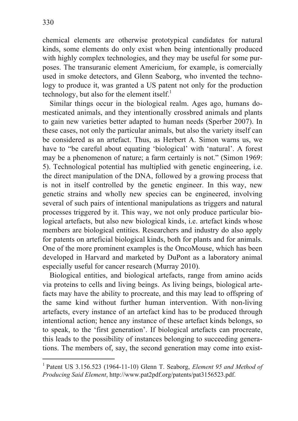chemical elements are otherwise prototypical candidates for natural kinds, some elements do only exist when being intentionally produced with highly complex technologies, and they may be useful for some purposes. The transuranic element Americium, for example, is comercially used in smoke detectors, and Glenn Seaborg, who invented the technology to produce it, was granted a US patent not only for the production technology, but also for the element itself. $<sup>1</sup>$ </sup>

Similar things occur in the biological realm. Ages ago, humans domesticated animals, and they intentionally crossbred animals and plants to gain new varieties better adapted to human needs (Sperber 2007). In these cases, not only the particular animals, but also the variety itself can be considered as an artefact. Thus, as Herbert A. Simon warns us, we have to "be careful about equating 'biological' with 'natural'. A forest may be a phenomenon of nature; a farm certainly is not." (Simon 1969: 5). Technological potential has multiplied with genetic engineering, *i.e.* the direct manipulation of the DNA, followed by a growing process that is not in itself controlled by the genetic engineer. In this way, new genetic strains and wholly new species can be engineered, involving several of such pairs of intentional manipulations as triggers and natural processes triggered by it. This way, we not only produce particular biological artefacts, but also new biological kinds, *i.e.* artefact kinds whose members are biological entities. Researchers and industry do also apply for patents on arteficial biological kinds, both for plants and for animals. One of the more prominent examples is the OncoMouse, which has been developed in Harvard and marketed by DuPont as a laboratory animal especially useful for cancer research (Murray 2010).

Biological entities, and biological artefacts, range from amino acids via proteins to cells and living beings. As living beings, biological artefacts may have the ability to procreate, and this may lead to offspring of the same kind without further human intervention. With non-living artefacts, every instance of an artefact kind has to be produced through intentional action; hence any instance of these artefact kinds belongs, so to speak, to the 'first generation'. If biological artefacts can procreate, this leads to the possibility of instances belonging to succeeding generations. The members of, say, the second generation may come into exist-

<sup>&</sup>lt;sup>1</sup> Patent US 3.156.523 (1964-11-10) Glenn T. Seaborg, Element 95 and Method of Producing Said Element, http://www.pat2pdf.org/patents/pat3156523.pdf.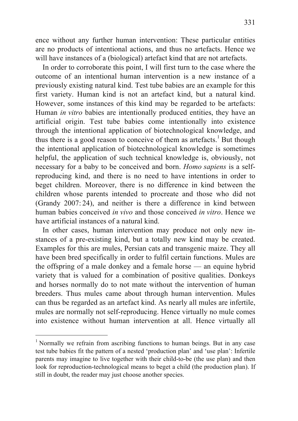ence without any further human intervention: These particular entities are no products of intentional actions, and thus no artefacts. Hence we will have instances of a (biological) artefact kind that are not artefacts.

In order to corroborate this point, I will first turn to the case where the outcome of an intentional human intervention is a new instance of a previously existing natural kind. Test tube babies are an example for this first variety. Human kind is not an artefact kind, but a natural kind. However, some instances of this kind may be regarded to be artefacts: Human *in vitro* babies are intentionally produced entities, they have an artificial origin. Test tube babies come intentionally into existence through the intentional application of biotechnological knowledge, and thus there is a good reason to conceive of them as artefacts.<sup>1</sup> But though the intentional application of biotechnological knowledge is sometimes helpful, the application of such technical knowledge is, obviously, not necessary for a baby to be conceived and born. *Homo sapiens* is a selfreproducing kind, and there is no need to have intentions in order to beget children. Moreover, there is no difference in kind between the children whose parents intended to procreate and those who did not (Grandy 2007:24), and neither is there a difference in kind between human babies conceived *in vivo* and those conceived *in vitro*. Hence we have artificial instances of a natural kind.

In other cases, human intervention may produce not only new instances of a pre-existing kind, but a totally new kind may be created. Examples for this are mules, Persian cats and transgenic maize. They all have been bred specifically in order to fulfil certain functions. Mules are the offspring of a male donkey and a female horse  $-$  an equine hybrid variety that is valued for a combination of positive qualities. Donkeys and horses normally do to not mate without the intervention of human breeders. Thus mules came about through human intervention. Mules can thus be regarded as an artefact kind. As nearly all mules are infertile, mules are normally not self-reproducing. Hence virtually no mule comes into existence without human intervention at all. Hence virtually all

<sup>&</sup>lt;sup>1</sup> Normally we refrain from ascribing functions to human beings. But in any case test tube babies fit the pattern of a nested 'production plan' and 'use plan': Infertile parents may imagine to live together with their child-to-be (the use plan) and then look for reproduction-technological means to beget a child (the production plan). If still in doubt, the reader may just choose another species.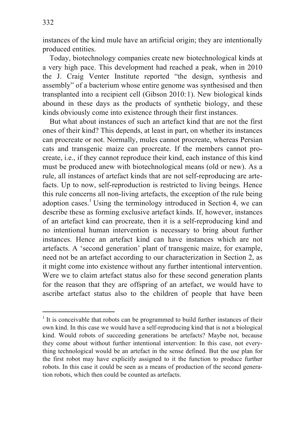instances of the kind mule have an artificial origin; they are intentionally produced entities.

Today, biotechnology companies create new biotechnological kinds at a very high pace. This development had reached a peak, when in 2010 the J. Craig Venter Institute reported "the design, synthesis and assembly" of a bacterium whose entire genome was synthesised and then transplanted into a recipient cell (Gibson 2010:1). New biological kinds abound in these days as the products of synthetic biology, and these kinds obviously come into existence through their first instances.

But what about instances of such an artefact kind that are not the first ones of their kind? This depends, at least in part, on whether its instances can procreate or not. Normally, mules cannot procreate, whereas Persian cats and transgenic maize can procreate. If the members cannot procreate, i.e., if they cannot reproduce their kind, each instance of this kind must be produced anew with biotechnological means (old or new). As a rule, all instances of artefact kinds that are not self-reproducing are artefacts. Up to now, self-reproduction is restricted to living beings. Hence this rule concerns all non-living artefacts, the exception of the rule being adoption cases.<sup>1</sup> Using the terminology introduced in Section 4, we can describe these as forming exclusive artefact kinds. If, however, instances of an artefact kind can procreate, then it is a self-reproducing kind and no intentional human intervention is necessary to bring about further instances. Hence an artefact kind can have instances which are not artefacts. A 'second generation' plant of transgenic maize, for example, need not be an artefact according to our characterization in Section 2, as it might come into existence without any further intentional intervention. Were we to claim artefact status also for these second generation plants for the reason that they are offspring of an artefact, we would have to ascribe artefact status also to the children of people that have been

<sup>&</sup>lt;sup>1</sup> It is conceivable that robots can be programmed to build further instances of their own kind. In this case we would have a self-reproducing kind that is not a biological kind. Would robots of succeeding generations be artefacts? Maybe not, because they come about without further intentional intervention: In this case, not everything technological would be an artefact in the sense defined. But the use plan for the first robot may have explicitly assigned to it the function to produce further robots. In this case it could be seen as a means of production of the second generation robots, which then could be counted as artefacts.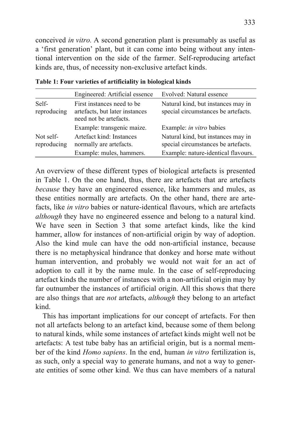conceived *in vitro*. A second generation plant is presumably as useful as a 'first generation' plant, but it can come into being without any intentional intervention on the side of the farmer. Self-reproducing artefact kinds are, thus, of necessity non-exclusive artefact kinds.

|                          | Engineered: Artificial essence                                                         | Evolved: Natural essence                                                  |  |
|--------------------------|----------------------------------------------------------------------------------------|---------------------------------------------------------------------------|--|
| Self-<br>reproducing     | First instances need to be<br>artefacts, but later instances<br>need not be artefacts. | Natural kind, but instances may in<br>special circumstances be artefacts. |  |
|                          | Example: transgenic maize.                                                             | Example: <i>in vitro</i> babies                                           |  |
| Not self-<br>reproducing | Artefact kind: Instances<br>normally are artefacts.                                    | Natural kind, but instances may in<br>special circumstances be artefacts. |  |
|                          | Example: mules, hammers.                                                               | Example: nature-identical flavours.                                       |  |

| Table 1: Four varieties of artificiality in biological kinds |  |  |  |  |  |
|--------------------------------------------------------------|--|--|--|--|--|
|--------------------------------------------------------------|--|--|--|--|--|

An overview of these different types of biological artefacts is presented in Table 1. On the one hand, thus, there are artefacts that are artefacts *because* they have an engineered essence, like hammers and mules, as these entities normally are artefacts. On the other hand, there are artefacts, like *in vitro* babies or nature-identical flavours, which are artefacts *although* they have no engineered essence and belong to a natural kind. We have seen in Section 3 that some artefact kinds, like the kind hammer, allow for instances of non-artificial origin by way of adoption. Also the kind mule can have the odd non-artificial instance, because there is no metaphysical hindrance that donkey and horse mate without human intervention, and probably we would not wait for an act of adoption to call it by the name mule. In the case of self-reproducing artefact kinds the number of instances with a non-artificial origin may by far outnumber the instances of artificial origin. All this shows that there are also things that are *not* artefacts, *although* they belong to an artefact kind.

This has important implications for our concept of artefacts. For then not all artefacts belong to an artefact kind, because some of them belong to natural kinds, while some instances of artefact kinds might well not be artefacts: A test tube baby has an artificial origin, but is a normal member of the kind *Homo sapiens*. In the end, human *in vitro* fertilization is, as such, only a special way to generate humans, and not a way to generate entities of some other kind. We thus can have members of a natural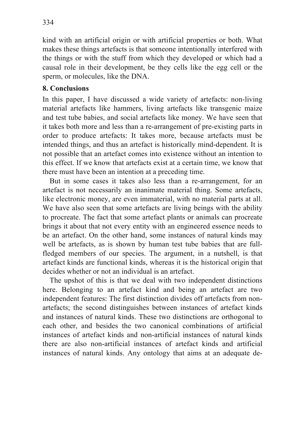kind with an artificial origin or with artificial properties or both. What makes these things artefacts is that someone intentionally interfered with the things or with the stuff from which they developed or which had a causal role in their development, be they cells like the egg cell or the sperm, or molecules, like the DNA.

#### **8. Conclusions**

In this paper, I have discussed a wide variety of artefacts: non-living material artefacts like hammers, living artefacts like transgenic maize and test tube babies, and social artefacts like money. We have seen that it takes both more and less than a re-arrangement of pre-existing parts in order to produce artefacts: It takes more, because artefacts must be intended things, and thus an artefact is historically mind-dependent. It is not possible that an artefact comes into existence without an intention to this effect. If we know that artefacts exist at a certain time, we know that there must have been an intention at a preceding time.

But in some cases it takes also less than a re-arrangement, for an artefact is not necessarily an inanimate material thing. Some artefacts, like electronic money, are even immaterial, with no material parts at all. We have also seen that some artefacts are living beings with the ability to procreate. The fact that some artefact plants or animals can procreate brings it about that not every entity with an engineered essence needs to be an artefact. On the other hand, some instances of natural kinds may well be artefacts, as is shown by human test tube babies that are fullfledged members of our species. The argument, in a nutshell, is that artefact kinds are functional kinds, whereas it is the historical origin that decides whether or not an individual is an artefact.

The upshot of this is that we deal with two independent distinctions here. Belonging to an artefact kind and being an artefact are two independent features: The first distinction divides off artefacts from nonartefacts; the second distinguishes between instances of artefact kinds and instances of natural kinds. These two distinctions are orthogonal to each other, and besides the two canonical combinations of artificial instances of artefact kinds and non-artificial instances of natural kinds there are also non-artificial instances of artefact kinds and artificial instances of natural kinds. Any ontology that aims at an adequate de-

334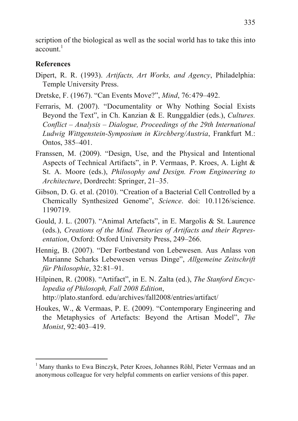scription of the biological as well as the social world has to take this into  $\alpha$ ccount $^{-1}$ 

#### **References**

- Dipert, R. R. (1993). Artifacts, Art Works, and Agency, Philadelphia: Temple University Press.
- Dretske, F. (1967). "Can Events Move?", *Mind*, 76:479–492.
- Ferraris, M. (2007). "Documentality or Why Nothing Social Exists Beyond the Text", in Ch. Kanzian & E. Runggaldier (eds.), Cultures. Conflict – Analysis – Dialogue, Proceedings of the 29th International Ludwig Wittgenstein-Symposium in Kirchberg/Austria, Frankfurt M.: Ontos, 385-401.
- Franssen, M. (2009). "Design, Use, and the Physical and Intentional Aspects of Technical Artifacts", in P. Vermaas, P. Kroes, A. Light & St. A. Moore (eds.), *Philosophy and Design. From Engineering to* Architecture, Dordrecht: Springer, 21–35.
- Gibson, D. G. et al. (2010). "Creation of a Bacterial Cell Controlled by a Chemically Synthesized Genome", Science. doi: 10.1126/science. 1190719.
- Gould, J. L. (2007). "Animal Artefacts", in E. Margolis & St. Laurence (eds.), Creations of the Mind. Theories of Artifacts and their Representation, Oxford: Oxford University Press, 249-266.
- Hennig, B. (2007). "Der Fortbestand von Lebewesen. Aus Anlass von Marianne Scharks Lebewesen versus Dinge", Allgemeine Zeitschrift für Philosophie, 32:81–91.
- Hilpinen, R. (2008). "Artifact", in E. N. Zalta (ed.), The Stanford Encyclopedia of Philosoph, Fall 2008 Edition, http://plato.stanford.edu/archives/fall2008/entries/artifact/
- Houkes, W., & Vermaas, P. E. (2009). "Contemporary Engineering and the Metaphysics of Artefacts: Beyond the Artisan Model", The Monist, 92:403-419.

<sup>&</sup>lt;sup>1</sup> Many thanks to Ewa Binczyk, Peter Kroes, Johannes Röhl, Pieter Vermaas and an anonymous colleague for very helpful comments on earlier versions of this paper.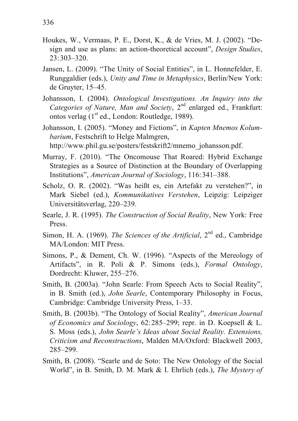- Houkes, W., Vermaas, P. E., Dorst, K., & de Vries, M. J. (2002). "Design and use as plans: an action-theoretical account". Design Studies.  $23:303 - 320.$
- Jansen, L. (2009). "The Unity of Social Entities", in L. Honnefelder, E. Runggaldier (eds.), Unity and Time in Metaphysics, Berlin/New York: de Gruyter,  $15-45$ .
- Johansson, I. (2004). Ontological Investigations. An Inquiry into the Categories of Nature, Man and Society, 2<sup>nd</sup> enlarged ed., Frankfurt: ontos verlag (1<sup>st</sup> ed., London: Routledge, 1989).
- Johansson, I. (2005). "Money and Fictions", in Kapten Mnemos Kolum*barium*, Festschrift to Helge Malmgren,

http://www.phil.gu.se/posters/festskrift2/mnemo johansson.pdf.

- Murray, F. (2010). "The Oncomouse That Roared: Hybrid Exchange Strategies as a Source of Distinction at the Boundary of Overlapping Institutions", American Journal of Sociology, 116:341-388.
- Scholz, O. R. (2002). "Was heißt es, ein Artefakt zu verstehen?", in Mark Siebel (ed.), Kommunikatives Verstehen, Leipzig: Leipziger Universitätsverlag, 220–239.
- Searle, J. R. (1995). The Construction of Social Reality, New York: Free Press.
- Simon, H. A. (1969). The Sciences of the Artificial, 2<sup>nd</sup> ed., Cambridge MA/London: MIT Press.
- Simons, P., & Dement, Ch. W. (1996). "Aspects of the Mereology of Artifacts", in R. Poli & P. Simons (eds.), Formal Ontology, Dordrecht: Kluwer, 255–276.
- Smith, B. (2003a). "John Searle: From Speech Acts to Social Reality". in B. Smith (ed.), *John Searle*, Contemporary Philosophy in Focus, Cambridge: Cambridge University Press, 1–33.
- Smith, B. (2003b). "The Ontology of Social Reality", American Journal of Economics and Sociology, 62:285–299; repr. in D. Koepsell & L. S. Moss (eds.), John Searle's Ideas about Social Reality. Extensions, Criticism and Reconstructions, Malden MA/Oxford: Blackwell 2003, 285-299.
- Smith, B. (2008). "Searle and de Soto: The New Ontology of the Social World", in B. Smith, D. M. Mark & I. Ehrlich (eds.), The Mystery of